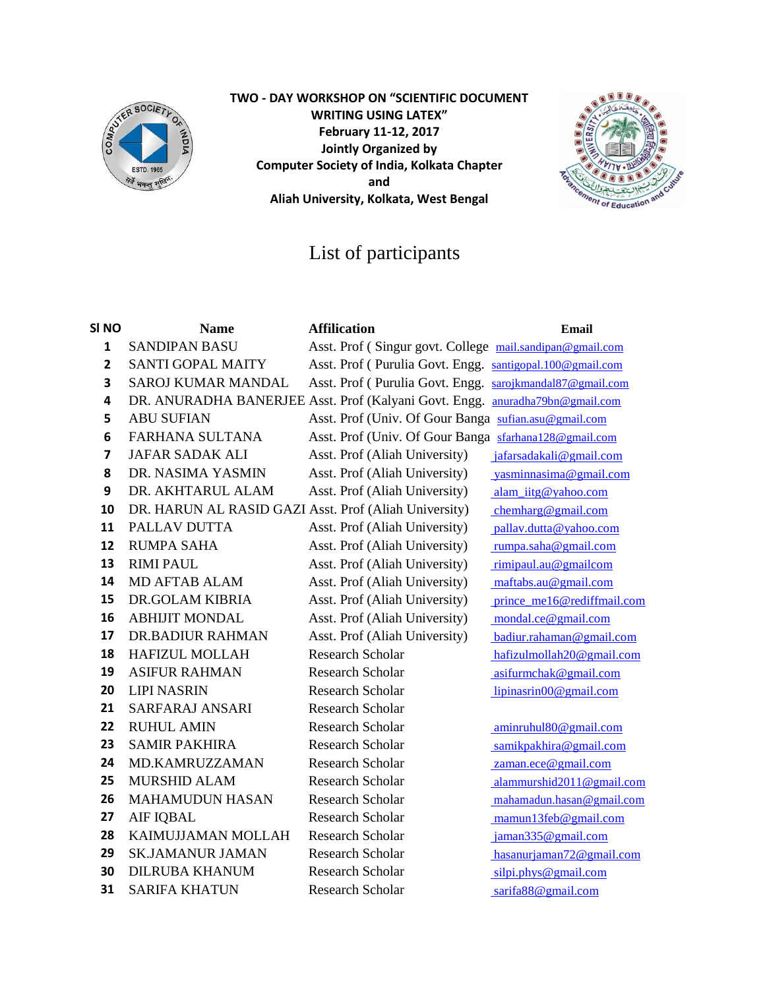

**TWO - DAY WORKSHOP ON "SCIENTIFIC DOCUMENT WRITING USING LATEX" February 11-12, 2017 Jointly Organized by Computer Society of India, Kolkata Chapter and Aliah University, Kolkata, West Bengal**



## List of participants

| SI <sub>NO</sub>        | <b>Name</b>                                           | <b>Affilication</b>                                                          | <b>Email</b>               |
|-------------------------|-------------------------------------------------------|------------------------------------------------------------------------------|----------------------------|
| $\mathbf{1}$            | <b>SANDIPAN BASU</b>                                  | Asst. Prof (Singur govt. College mail.sandipan@gmail.com                     |                            |
| $\overline{2}$          | <b>SANTI GOPAL MAITY</b>                              | Asst. Prof (Purulia Govt. Engg. santigopal.100@gmail.com                     |                            |
| 3                       | SAROJ KUMAR MANDAL                                    | Asst. Prof (Purulia Govt. Engg. sarojkmandal87@gmail.com                     |                            |
| 4                       |                                                       | DR. ANURADHA BANERJEE Asst. Prof (Kalyani Govt. Engg. anuradha79bn@gmail.com |                            |
| 5                       | <b>ABU SUFIAN</b>                                     | Asst. Prof (Univ. Of Gour Banga sufian.asu@gmail.com                         |                            |
| 6                       | <b>FARHANA SULTANA</b>                                | Asst. Prof (Univ. Of Gour Banga sfarhana128@gmail.com                        |                            |
| $\overline{\mathbf{z}}$ | <b>JAFAR SADAK ALI</b>                                | Asst. Prof (Aliah University)                                                | jafarsadakali@gmail.com    |
| 8                       | DR. NASIMA YASMIN                                     | Asst. Prof (Aliah University)                                                | vasminnasima@gmail.com     |
| 9                       | DR. AKHTARUL ALAM                                     | Asst. Prof (Aliah University)                                                | alam iitg@yahoo.com        |
| 10                      | DR. HARUN AL RASID GAZI Asst. Prof (Aliah University) |                                                                              | chemharg@gmail.com         |
| 11                      | PALLAV DUTTA                                          | Asst. Prof (Aliah University)                                                | pallav.dutta@yahoo.com     |
| 12                      | <b>RUMPA SAHA</b>                                     | Asst. Prof (Aliah University)                                                | rumpa.saha@gmail.com       |
| 13                      | <b>RIMI PAUL</b>                                      | Asst. Prof (Aliah University)                                                | rimipaul.au@gmailcom       |
| 14                      | <b>MD AFTAB ALAM</b>                                  | Asst. Prof (Aliah University)                                                | maftabs.au@gmail.com       |
| 15                      | DR.GOLAM KIBRIA                                       | Asst. Prof (Aliah University)                                                | prince me16@rediffmail.com |
| 16                      | <b>ABHIJIT MONDAL</b>                                 | Asst. Prof (Aliah University)                                                | mondal.ce@gmail.com        |
| 17                      | <b>DR.BADIUR RAHMAN</b>                               | Asst. Prof (Aliah University)                                                | badiur.rahaman@gmail.com   |
| 18                      | <b>HAFIZUL MOLLAH</b>                                 | <b>Research Scholar</b>                                                      | hafizulmollah20@gmail.com  |
| 19                      | <b>ASIFUR RAHMAN</b>                                  | <b>Research Scholar</b>                                                      | asifurmchak@gmail.com      |
| 20                      | <b>LIPI NASRIN</b>                                    | <b>Research Scholar</b>                                                      | lipinasrin00@gmail.com     |
| 21                      | SARFARAJ ANSARI                                       | <b>Research Scholar</b>                                                      |                            |
| 22                      | <b>RUHUL AMIN</b>                                     | <b>Research Scholar</b>                                                      | aminruhul80@gmail.com      |
| 23                      | <b>SAMIR PAKHIRA</b>                                  | <b>Research Scholar</b>                                                      | samikpakhira@gmail.com     |
| 24                      | MD.KAMRUZZAMAN                                        | <b>Research Scholar</b>                                                      | zaman.ece@gmail.com        |
| 25                      | <b>MURSHID ALAM</b>                                   | <b>Research Scholar</b>                                                      | alammurshid2011@gmail.com  |
| 26                      | <b>MAHAMUDUN HASAN</b>                                | <b>Research Scholar</b>                                                      | mahamadun.hasan@gmail.com  |
| 27                      | <b>AIF IQBAL</b>                                      | Research Scholar                                                             | mamun13feb@gmail.com       |
| 28                      | KAIMUJJAMAN MOLLAH                                    | <b>Research Scholar</b>                                                      | jaman335@gmail.com         |
| 29                      | <b>SK.JAMANUR JAMAN</b>                               | <b>Research Scholar</b>                                                      | hasanurjaman72@gmail.com   |
| 30                      | <b>DILRUBA KHANUM</b>                                 | <b>Research Scholar</b>                                                      | silpi.phys@gmail.com       |
| 31                      | <b>SARIFA KHATUN</b>                                  | <b>Research Scholar</b>                                                      | sarifa88@gmail.com         |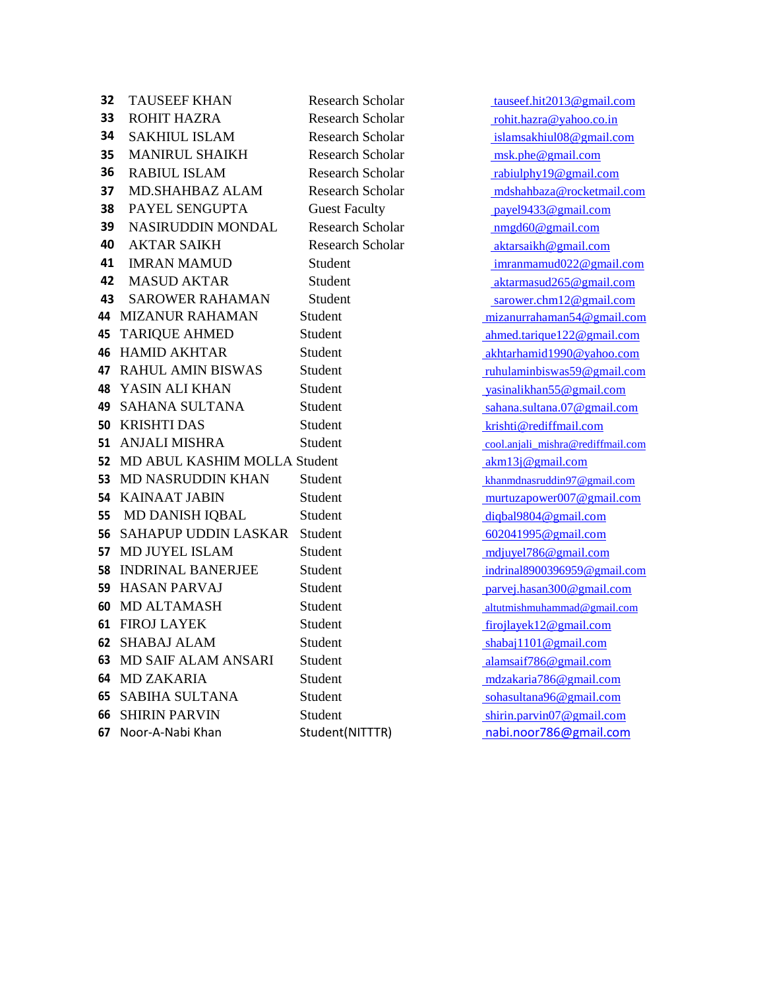| 32 | <b>TAUSEEF KHAN</b>             | Researc   |  |
|----|---------------------------------|-----------|--|
| 33 | <b>ROHIT HAZRA</b>              | Researc   |  |
| 34 | <b>SAKHIUL ISLAM</b>            | Researc   |  |
| 35 | <b>MANIRUL SHAIKH</b>           | Researc   |  |
| 36 | <b>RABIUL ISLAM</b>             | Researc   |  |
| 37 | <b>MD.SHAHBAZ ALAM</b>          | Researc   |  |
| 38 | PAYEL SENGUPTA                  | Guest F   |  |
| 39 | <b>NASIRUDDIN MONDAL</b>        | Researc   |  |
| 40 | <b>AKTAR SAIKH</b>              | Researc   |  |
| 41 | <b>IMRAN MAMUD</b>              | Student   |  |
| 42 | <b>MASUD AKTAR</b>              | Student   |  |
| 43 | <b>SAROWER RAHAMAN</b>          | Student   |  |
| 44 | <b>MIZANUR RAHAMAN</b>          | Student   |  |
| 45 | <b>TARIQUE AHMED</b>            | Student   |  |
| 46 | <b>HAMID AKHTAR</b>             | Student   |  |
|    | <b>47 RAHUL AMIN BISWAS</b>     | Student   |  |
|    | <b>48 YASIN ALI KHAN</b>        | Student   |  |
|    | <b>49 SAHANA SULTANA</b>        | Student   |  |
|    | <b>50 KRISHTI DAS</b>           | Student   |  |
| 51 | <b>ANJALI MISHRA</b>            | Student   |  |
|    | 52 MD ABUL KASHIM MOLLA Student |           |  |
|    | 53 MD NASRUDDIN KHAN            | Student   |  |
|    | <b>54 KAINAAT JABIN</b>         | Student   |  |
|    | 55 MD DANISH IQBAL              | Student   |  |
| 56 | <b>SAHAPUP UDDIN LASKAR</b>     | Student   |  |
| 57 | <b>MD JUYEL ISLAM</b>           | Student   |  |
| 58 | <b>INDRINAL BANERJEE</b>        | Student   |  |
| 59 | <b>HASAN PARVAJ</b>             | Student   |  |
| 60 | <b>MD ALTAMASH</b>              | Student   |  |
| 61 | <b>FIROJ LAYEK</b>              | Student   |  |
| 62 | <b>SHABAJ ALAM</b>              | Student   |  |
| 63 | <b>MD SAIF ALAM ANSARI</b>      | Student   |  |
| 64 | <b>MD ZAKARIA</b>               | Student   |  |
|    | <b>65 SABIHA SULTANA</b>        | Student   |  |
|    | <b>66 SHIRIN PARVIN</b>         | Student   |  |
| 67 | Noor-A-Nabi Khan                | Student(I |  |

**32** Tauseef.hit2013@gmail.com **33** Ph Scholar [rohit.hazra@yahoo.co.in](mailto:rohit.hazra@yahoo.co.in) **344** Scholar [islamsakhiul08@gmail.com](mailto:islamsakhiul08@gmail.com) **35**  $\frac{1}{2}$  MScholar [msk.phe@gmail.com](mailto:msk.phe@gmail.com) **36** abiulphy19@gmail.com **37** MBCholar [mdshahbaza@rocketmail.com](mailto:mdshahbaza@rocketmail.com) **38** Payel Sengtherman Faculty **Faculty CONS** Payel 9433@gmail.com **39**  $\frac{1}{2}$  [nmgd60@gmail.com](mailto:nmgd60@gmail.com) **400** Aktarsaikh @gmail.com [imranmamud022@gmail.com](mailto:imranmamud022@gmail.com) [aktarmasud265@gmail.com](mailto:aktarmasud265@gmail.com) [sarower.chm12@gmail.com](mailto:sarower.chm12@gmail.com) **44** MIZANUR RAHAMAN Student [mizanurrahaman54@gmail.com](mailto:mizanurrahaman54@gmail.com) **4** Ahmed.tarique 122@gmail.com [akhtarhamid1990@yahoo.com](mailto:akhtarhamid1990@yahoo.com) **47** RAHUL AMIN BISWAS Student [ruhulaminbiswas59@gmail.com](mailto:ruhulaminbiswas59@gmail.com) **[yasinalikhan55@gmail.com](mailto:yasinalikhan55@gmail.com)** [sahana.sultana.07@gmail.com](mailto:sahana.sultana.07@gmail.com) **50** KRISHTI DAS Student [krishti@rediffmail.com](mailto:krishti@rediffmail.com) **51** ANJALI MISHRA Student [cool.anjali\\_mishra@rediffmail.com](mailto:cool.anjali_mishra@rediffmail.com)  $a$ km13j@gmail.com **[khanmdnasruddin97@gmail.com](mailto:khanmdnasruddin97@gmail.com)** [murtuzapower007@gmail.com](mailto:murtuzapower007@gmail.com) [diqbal9804@gmail.com](mailto:diqbal9804@gmail.com) **56** SAHAPUP UDDIN LASKAR Student [602041995@gmail.com](mailto:602041995@gmail.com) [mdjuyel786@gmail.com](mailto:mdjuyel786@gmail.com) [indrinal8900396959@gmail.com](mailto:indrinal8900396959@gmail.com) [parvej.hasan300@gmail.com](mailto:parvej.hasan300@gmail.com) [altutmishmuhammad@gmail.com](mailto:altutmishmuhammad@gmail.com) [firojlayek12@gmail.com](mailto:firojlayek12@gmail.com) [shabaj1101@gmail.com](mailto:shabaj1101@gmail.com) **63** MD SAIF ALAM ANSARI Student [alamsaif786@gmail.com](mailto:alamsaif786@gmail.com) [mdzakaria786@gmail.com](mailto:mdzakaria786@gmail.com) [sohasultana96@gmail.com](mailto:sohasultana96@gmail.com) [shirin.parvin07@gmail.com](mailto:shirin.parvin07@gmail.com) **FITTE** NOTE: The Student Communism of the Student Communism of the Student Communism of the Student Communism of the Student Communism of the Student Communism of the Student Communism of the Student Communism of the Stud